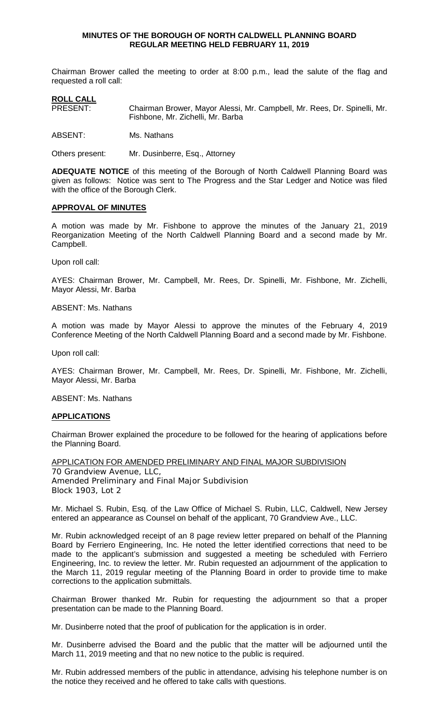#### **MINUTES OF THE BOROUGH OF NORTH CALDWELL PLANNING BOARD REGULAR MEETING HELD FEBRUARY 11, 2019**

Chairman Brower called the meeting to order at 8:00 p.m., lead the salute of the flag and requested a roll call:

# **ROLL CALL**<br>PRESENT: Chairman Brower, Mayor Alessi, Mr. Campbell, Mr. Rees, Dr. Spinelli, Mr. Fishbone, Mr. Zichelli, Mr. Barba

ABSENT: Ms. Nathans

Others present: Mr. Dusinberre, Esq., Attorney

**ADEQUATE NOTICE** of this meeting of the Borough of North Caldwell Planning Board was given as follows: Notice was sent to The Progress and the Star Ledger and Notice was filed with the office of the Borough Clerk.

# **APPROVAL OF MINUTES**

A motion was made by Mr. Fishbone to approve the minutes of the January 21, 2019 Reorganization Meeting of the North Caldwell Planning Board and a second made by Mr. Campbell.

Upon roll call:

AYES: Chairman Brower, Mr. Campbell, Mr. Rees, Dr. Spinelli, Mr. Fishbone, Mr. Zichelli, Mayor Alessi, Mr. Barba

#### ABSENT: Ms. Nathans

A motion was made by Mayor Alessi to approve the minutes of the February 4, 2019 Conference Meeting of the North Caldwell Planning Board and a second made by Mr. Fishbone.

Upon roll call:

AYES: Chairman Brower, Mr. Campbell, Mr. Rees, Dr. Spinelli, Mr. Fishbone, Mr. Zichelli, Mayor Alessi, Mr. Barba

ABSENT: Ms. Nathans

#### **APPLICATIONS**

Chairman Brower explained the procedure to be followed for the hearing of applications before the Planning Board.

APPLICATION FOR AMENDED PRELIMINARY AND FINAL MAJOR SUBDIVISION 70 Grandview Avenue, LLC, Amended Preliminary and Final Major Subdivision Block 1903, Lot 2

Mr. Michael S. Rubin, Esq. of the Law Office of Michael S. Rubin, LLC, Caldwell, New Jersey entered an appearance as Counsel on behalf of the applicant, 70 Grandview Ave., LLC.

Mr. Rubin acknowledged receipt of an 8 page review letter prepared on behalf of the Planning Board by Ferriero Engineering, Inc. He noted the letter identified corrections that need to be made to the applicant's submission and suggested a meeting be scheduled with Ferriero Engineering, Inc. to review the letter. Mr. Rubin requested an adjournment of the application to the March 11, 2019 regular meeting of the Planning Board in order to provide time to make corrections to the application submittals.

Chairman Brower thanked Mr. Rubin for requesting the adjournment so that a proper presentation can be made to the Planning Board.

Mr. Dusinberre noted that the proof of publication for the application is in order.

Mr. Dusinberre advised the Board and the public that the matter will be adjourned until the March 11, 2019 meeting and that no new notice to the public is required.

Mr. Rubin addressed members of the public in attendance, advising his telephone number is on the notice they received and he offered to take calls with questions.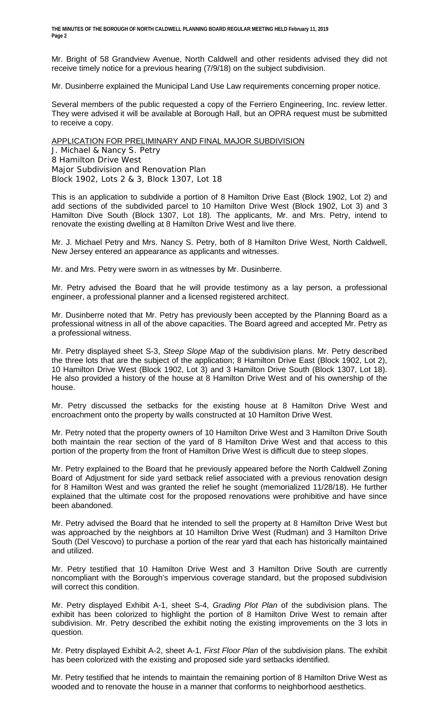Mr. Bright of 58 Grandview Avenue, North Caldwell and other residents advised they did not receive timely notice for a previous hearing (7/9/18) on the subject subdivision.

Mr. Dusinberre explained the Municipal Land Use Law requirements concerning proper notice.

Several members of the public requested a copy of the Ferriero Engineering, Inc. review letter. They were advised it will be available at Borough Hall, but an OPRA request must be submitted to receive a copy.

# APPLICATION FOR PRELIMINARY AND FINAL MAJOR SUBDIVISION

J. Michael & Nancy S. Petry 8 Hamilton Drive West Major Subdivision and Renovation Plan Block 1902, Lots 2 & 3, Block 1307, Lot 18

This is an application to subdivide a portion of 8 Hamilton Drive East (Block 1902, Lot 2) and add sections of the subdivided parcel to 10 Hamilton Drive West (Block 1902, Lot 3) and 3 Hamilton Dive South (Block 1307, Lot 18). The applicants, Mr. and Mrs. Petry, intend to renovate the existing dwelling at 8 Hamilton Drive West and live there.

Mr. J. Michael Petry and Mrs. Nancy S. Petry, both of 8 Hamilton Drive West, North Caldwell, New Jersey entered an appearance as applicants and witnesses.

Mr. and Mrs. Petry were sworn in as witnesses by Mr. Dusinberre.

Mr. Petry advised the Board that he will provide testimony as a lay person, a professional engineer, a professional planner and a licensed registered architect.

Mr. Dusinberre noted that Mr. Petry has previously been accepted by the Planning Board as a professional witness in all of the above capacities. The Board agreed and accepted Mr. Petry as a professional witness.

Mr. Petry displayed sheet S-3, *Steep Slope Map* of the subdivision plans. Mr. Petry described the three lots that are the subject of the application; 8 Hamilton Drive East (Block 1902, Lot 2), 10 Hamilton Drive West (Block 1902, Lot 3) and 3 Hamilton Drive South (Block 1307, Lot 18). He also provided a history of the house at 8 Hamilton Drive West and of his ownership of the house.

Mr. Petry discussed the setbacks for the existing house at 8 Hamilton Drive West and encroachment onto the property by walls constructed at 10 Hamilton Drive West.

Mr. Petry noted that the property owners of 10 Hamilton Drive West and 3 Hamilton Drive South both maintain the rear section of the yard of 8 Hamilton Drive West and that access to this portion of the property from the front of Hamilton Drive West is difficult due to steep slopes.

Mr. Petry explained to the Board that he previously appeared before the North Caldwell Zoning Board of Adjustment for side yard setback relief associated with a previous renovation design for 8 Hamilton West and was granted the relief he sought (memorialized 11/28/18). He further explained that the ultimate cost for the proposed renovations were prohibitive and have since been abandoned.

Mr. Petry advised the Board that he intended to sell the property at 8 Hamilton Drive West but was approached by the neighbors at 10 Hamilton Drive West (Rudman) and 3 Hamilton Drive South (Del Vescovo) to purchase a portion of the rear yard that each has historically maintained and utilized.

Mr. Petry testified that 10 Hamilton Drive West and 3 Hamilton Drive South are currently noncompliant with the Borough's impervious coverage standard, but the proposed subdivision will correct this condition.

Mr. Petry displayed Exhibit A-1, sheet S-4, *Grading Plot Plan* of the subdivision plans. The exhibit has been colorized to highlight the portion of 8 Hamilton Drive West to remain after subdivision. Mr. Petry described the exhibit noting the existing improvements on the 3 lots in question.

Mr. Petry displayed Exhibit A-2, sheet A-1, *First Floor Plan* of the subdivision plans. The exhibit has been colorized with the existing and proposed side yard setbacks identified.

Mr. Petry testified that he intends to maintain the remaining portion of 8 Hamilton Drive West as wooded and to renovate the house in a manner that conforms to neighborhood aesthetics.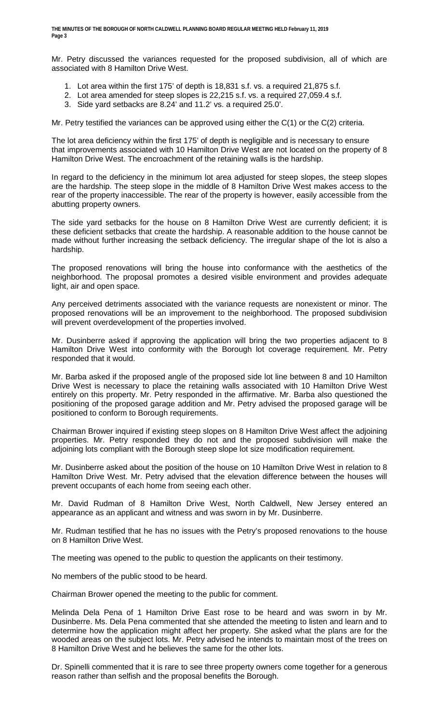Mr. Petry discussed the variances requested for the proposed subdivision, all of which are associated with 8 Hamilton Drive West.

- 1. Lot area within the first 175' of depth is 18,831 s.f. vs. a required 21,875 s.f.
- 2. Lot area amended for steep slopes is 22,215 s.f. vs. a required 27,059.4 s.f.
- 3. Side yard setbacks are 8.24' and 11.2' vs. a required 25.0'.

Mr. Petry testified the variances can be approved using either the C(1) or the C(2) criteria.

The lot area deficiency within the first 175' of depth is negligible and is necessary to ensure that improvements associated with 10 Hamilton Drive West are not located on the property of 8 Hamilton Drive West. The encroachment of the retaining walls is the hardship.

In regard to the deficiency in the minimum lot area adjusted for steep slopes, the steep slopes are the hardship. The steep slope in the middle of 8 Hamilton Drive West makes access to the rear of the property inaccessible. The rear of the property is however, easily accessible from the abutting property owners.

The side yard setbacks for the house on 8 Hamilton Drive West are currently deficient; it is these deficient setbacks that create the hardship. A reasonable addition to the house cannot be made without further increasing the setback deficiency. The irregular shape of the lot is also a hardship.

The proposed renovations will bring the house into conformance with the aesthetics of the neighborhood. The proposal promotes a desired visible environment and provides adequate light, air and open space.

Any perceived detriments associated with the variance requests are nonexistent or minor. The proposed renovations will be an improvement to the neighborhood. The proposed subdivision will prevent overdevelopment of the properties involved.

Mr. Dusinberre asked if approving the application will bring the two properties adjacent to 8 Hamilton Drive West into conformity with the Borough lot coverage requirement. Mr. Petry responded that it would.

Mr. Barba asked if the proposed angle of the proposed side lot line between 8 and 10 Hamilton Drive West is necessary to place the retaining walls associated with 10 Hamilton Drive West entirely on this property. Mr. Petry responded in the affirmative. Mr. Barba also questioned the positioning of the proposed garage addition and Mr. Petry advised the proposed garage will be positioned to conform to Borough requirements.

Chairman Brower inquired if existing steep slopes on 8 Hamilton Drive West affect the adjoining properties. Mr. Petry responded they do not and the proposed subdivision will make the adjoining lots compliant with the Borough steep slope lot size modification requirement.

Mr. Dusinberre asked about the position of the house on 10 Hamilton Drive West in relation to 8 Hamilton Drive West. Mr. Petry advised that the elevation difference between the houses will prevent occupants of each home from seeing each other.

Mr. David Rudman of 8 Hamilton Drive West, North Caldwell, New Jersey entered an appearance as an applicant and witness and was sworn in by Mr. Dusinberre.

Mr. Rudman testified that he has no issues with the Petry's proposed renovations to the house on 8 Hamilton Drive West.

The meeting was opened to the public to question the applicants on their testimony.

No members of the public stood to be heard.

Chairman Brower opened the meeting to the public for comment.

Melinda Dela Pena of 1 Hamilton Drive East rose to be heard and was sworn in by Mr. Dusinberre. Ms. Dela Pena commented that she attended the meeting to listen and learn and to determine how the application might affect her property. She asked what the plans are for the wooded areas on the subject lots. Mr. Petry advised he intends to maintain most of the trees on 8 Hamilton Drive West and he believes the same for the other lots.

Dr. Spinelli commented that it is rare to see three property owners come together for a generous reason rather than selfish and the proposal benefits the Borough.